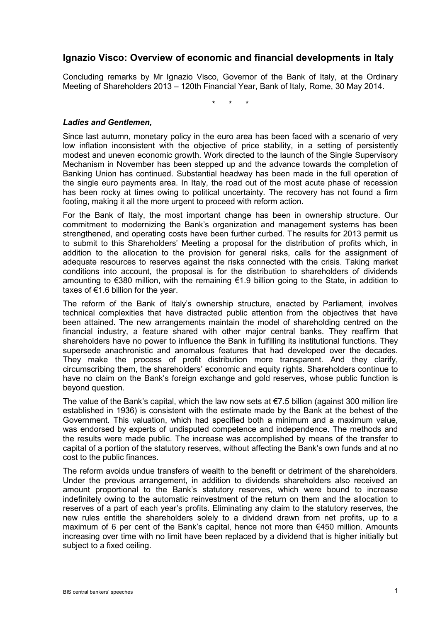# **Ignazio Visco: Overview of economic and financial developments in Italy**

Concluding remarks by Mr Ignazio Visco, Governor of the Bank of Italy, at the Ordinary Meeting of Shareholders 2013 – 120th Financial Year, Bank of Italy, Rome, 30 May 2014.

\* \* \*

#### *Ladies and Gentlemen,*

Since last autumn, monetary policy in the euro area has been faced with a scenario of very low inflation inconsistent with the objective of price stability, in a setting of persistently modest and uneven economic growth. Work directed to the launch of the Single Supervisory Mechanism in November has been stepped up and the advance towards the completion of Banking Union has continued. Substantial headway has been made in the full operation of the single euro payments area. In Italy, the road out of the most acute phase of recession has been rocky at times owing to political uncertainty. The recovery has not found a firm footing, making it all the more urgent to proceed with reform action.

For the Bank of Italy, the most important change has been in ownership structure. Our commitment to modernizing the Bank's organization and management systems has been strengthened, and operating costs have been further curbed. The results for 2013 permit us to submit to this Shareholders' Meeting a proposal for the distribution of profits which, in addition to the allocation to the provision for general risks, calls for the assignment of adequate resources to reserves against the risks connected with the crisis. Taking market conditions into account, the proposal is for the distribution to shareholders of dividends amounting to €380 million, with the remaining €1.9 billion going to the State, in addition to taxes of  $€1.6$  billion for the year.

The reform of the Bank of Italy's ownership structure, enacted by Parliament, involves technical complexities that have distracted public attention from the objectives that have been attained. The new arrangements maintain the model of shareholding centred on the financial industry, a feature shared with other major central banks. They reaffirm that shareholders have no power to influence the Bank in fulfilling its institutional functions. They supersede anachronistic and anomalous features that had developed over the decades. They make the process of profit distribution more transparent. And they clarify, circumscribing them, the shareholders' economic and equity rights. Shareholders continue to have no claim on the Bank's foreign exchange and gold reserves, whose public function is beyond question.

The value of the Bank's capital, which the law now sets at  $\epsilon$ 7.5 billion (against 300 million lire established in 1936) is consistent with the estimate made by the Bank at the behest of the Government. This valuation, which had specified both a minimum and a maximum value, was endorsed by experts of undisputed competence and independence. The methods and the results were made public. The increase was accomplished by means of the transfer to capital of a portion of the statutory reserves, without affecting the Bank's own funds and at no cost to the public finances.

The reform avoids undue transfers of wealth to the benefit or detriment of the shareholders. Under the previous arrangement, in addition to dividends shareholders also received an amount proportional to the Bank's statutory reserves, which were bound to increase indefinitely owing to the automatic reinvestment of the return on them and the allocation to reserves of a part of each year's profits. Eliminating any claim to the statutory reserves, the new rules entitle the shareholders solely to a dividend drawn from net profits, up to a maximum of 6 per cent of the Bank's capital, hence not more than €450 million. Amounts increasing over time with no limit have been replaced by a dividend that is higher initially but subject to a fixed ceiling.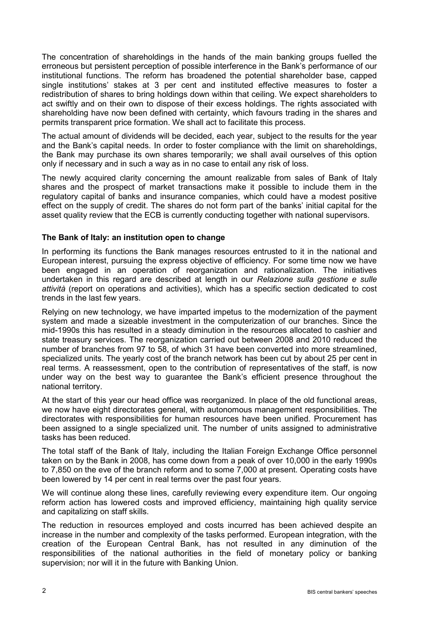The concentration of shareholdings in the hands of the main banking groups fuelled the erroneous but persistent perception of possible interference in the Bank's performance of our institutional functions. The reform has broadened the potential shareholder base, capped single institutions' stakes at 3 per cent and instituted effective measures to foster a redistribution of shares to bring holdings down within that ceiling. We expect shareholders to act swiftly and on their own to dispose of their excess holdings. The rights associated with shareholding have now been defined with certainty, which favours trading in the shares and permits transparent price formation. We shall act to facilitate this process.

The actual amount of dividends will be decided, each year, subject to the results for the year and the Bank's capital needs. In order to foster compliance with the limit on shareholdings, the Bank may purchase its own shares temporarily; we shall avail ourselves of this option only if necessary and in such a way as in no case to entail any risk of loss.

The newly acquired clarity concerning the amount realizable from sales of Bank of Italy shares and the prospect of market transactions make it possible to include them in the regulatory capital of banks and insurance companies, which could have a modest positive effect on the supply of credit. The shares do not form part of the banks' initial capital for the asset quality review that the ECB is currently conducting together with national supervisors.

# **The Bank of Italy: an institution open to change**

In performing its functions the Bank manages resources entrusted to it in the national and European interest, pursuing the express objective of efficiency. For some time now we have been engaged in an operation of reorganization and rationalization. The initiatives undertaken in this regard are described at length in our *Relazione sulla gestione e sulle attività* (report on operations and activities), which has a specific section dedicated to cost trends in the last few years.

Relying on new technology, we have imparted impetus to the modernization of the payment system and made a sizeable investment in the computerization of our branches. Since the mid-1990s this has resulted in a steady diminution in the resources allocated to cashier and state treasury services. The reorganization carried out between 2008 and 2010 reduced the number of branches from 97 to 58, of which 31 have been converted into more streamlined, specialized units. The yearly cost of the branch network has been cut by about 25 per cent in real terms. A reassessment, open to the contribution of representatives of the staff, is now under way on the best way to guarantee the Bank's efficient presence throughout the national territory.

At the start of this year our head office was reorganized. In place of the old functional areas, we now have eight directorates general, with autonomous management responsibilities. The directorates with responsibilities for human resources have been unified. Procurement has been assigned to a single specialized unit. The number of units assigned to administrative tasks has been reduced.

The total staff of the Bank of Italy, including the Italian Foreign Exchange Office personnel taken on by the Bank in 2008, has come down from a peak of over 10,000 in the early 1990s to 7,850 on the eve of the branch reform and to some 7,000 at present. Operating costs have been lowered by 14 per cent in real terms over the past four years.

We will continue along these lines, carefully reviewing every expenditure item. Our ongoing reform action has lowered costs and improved efficiency, maintaining high quality service and capitalizing on staff skills.

The reduction in resources employed and costs incurred has been achieved despite an increase in the number and complexity of the tasks performed. European integration, with the creation of the European Central Bank, has not resulted in any diminution of the responsibilities of the national authorities in the field of monetary policy or banking supervision; nor will it in the future with Banking Union.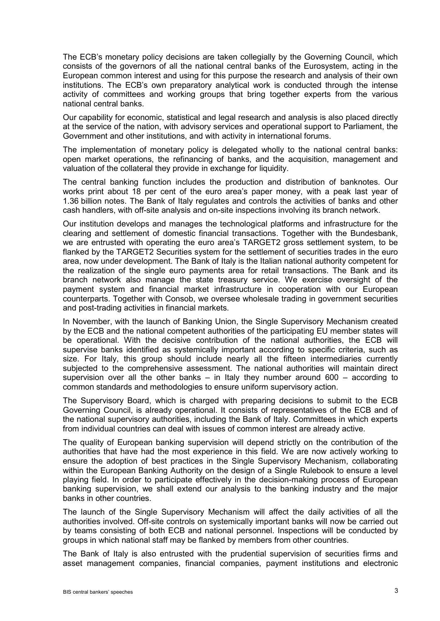The ECB's monetary policy decisions are taken collegially by the Governing Council, which consists of the governors of all the national central banks of the Eurosystem, acting in the European common interest and using for this purpose the research and analysis of their own institutions. The ECB's own preparatory analytical work is conducted through the intense activity of committees and working groups that bring together experts from the various national central banks.

Our capability for economic, statistical and legal research and analysis is also placed directly at the service of the nation, with advisory services and operational support to Parliament, the Government and other institutions, and with activity in international forums.

The implementation of monetary policy is delegated wholly to the national central banks: open market operations, the refinancing of banks, and the acquisition, management and valuation of the collateral they provide in exchange for liquidity.

The central banking function includes the production and distribution of banknotes. Our works print about 18 per cent of the euro area's paper money, with a peak last year of 1.36 billion notes. The Bank of Italy regulates and controls the activities of banks and other cash handlers, with off-site analysis and on-site inspections involving its branch network.

Our institution develops and manages the technological platforms and infrastructure for the clearing and settlement of domestic financial transactions. Together with the Bundesbank, we are entrusted with operating the euro area's TARGET2 gross settlement system, to be flanked by the TARGET2 Securities system for the settlement of securities trades in the euro area, now under development. The Bank of Italy is the Italian national authority competent for the realization of the single euro payments area for retail transactions. The Bank and its branch network also manage the state treasury service. We exercise oversight of the payment system and financial market infrastructure in cooperation with our European counterparts. Together with Consob, we oversee wholesale trading in government securities and post-trading activities in financial markets.

In November, with the launch of Banking Union, the Single Supervisory Mechanism created by the ECB and the national competent authorities of the participating EU member states will be operational. With the decisive contribution of the national authorities, the ECB will supervise banks identified as systemically important according to specific criteria, such as size. For Italy, this group should include nearly all the fifteen intermediaries currently subjected to the comprehensive assessment. The national authorities will maintain direct supervision over all the other banks  $-$  in Italy they number around 600 – according to common standards and methodologies to ensure uniform supervisory action.

The Supervisory Board, which is charged with preparing decisions to submit to the ECB Governing Council, is already operational. It consists of representatives of the ECB and of the national supervisory authorities, including the Bank of Italy. Committees in which experts from individual countries can deal with issues of common interest are already active.

The quality of European banking supervision will depend strictly on the contribution of the authorities that have had the most experience in this field. We are now actively working to ensure the adoption of best practices in the Single Supervisory Mechanism, collaborating within the European Banking Authority on the design of a Single Rulebook to ensure a level playing field. In order to participate effectively in the decision-making process of European banking supervision, we shall extend our analysis to the banking industry and the major banks in other countries.

The launch of the Single Supervisory Mechanism will affect the daily activities of all the authorities involved. Off-site controls on systemically important banks will now be carried out by teams consisting of both ECB and national personnel. Inspections will be conducted by groups in which national staff may be flanked by members from other countries.

The Bank of Italy is also entrusted with the prudential supervision of securities firms and asset management companies, financial companies, payment institutions and electronic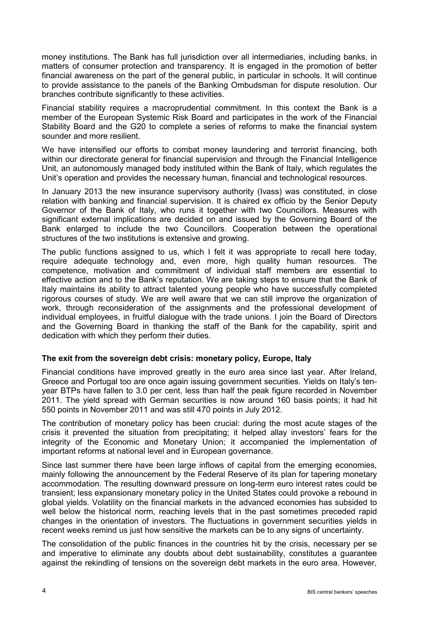money institutions. The Bank has full jurisdiction over all intermediaries, including banks, in matters of consumer protection and transparency. It is engaged in the promotion of better financial awareness on the part of the general public, in particular in schools. It will continue to provide assistance to the panels of the Banking Ombudsman for dispute resolution. Our branches contribute significantly to these activities.

Financial stability requires a macroprudential commitment. In this context the Bank is a member of the European Systemic Risk Board and participates in the work of the Financial Stability Board and the G20 to complete a series of reforms to make the financial system sounder and more resilient.

We have intensified our efforts to combat money laundering and terrorist financing, both within our directorate general for financial supervision and through the Financial Intelligence Unit, an autonomously managed body instituted within the Bank of Italy, which regulates the Unit's operation and provides the necessary human, financial and technological resources.

In January 2013 the new insurance supervisory authority (Ivass) was constituted, in close relation with banking and financial supervision. It is chaired ex officio by the Senior Deputy Governor of the Bank of Italy, who runs it together with two Councillors. Measures with significant external implications are decided on and issued by the Governing Board of the Bank enlarged to include the two Councillors. Cooperation between the operational structures of the two institutions is extensive and growing.

The public functions assigned to us, which I felt it was appropriate to recall here today, require adequate technology and, even more, high quality human resources. The competence, motivation and commitment of individual staff members are essential to effective action and to the Bank's reputation. We are taking steps to ensure that the Bank of Italy maintains its ability to attract talented young people who have successfully completed rigorous courses of study. We are well aware that we can still improve the organization of work, through reconsideration of the assignments and the professional development of individual employees, in fruitful dialogue with the trade unions. I join the Board of Directors and the Governing Board in thanking the staff of the Bank for the capability, spirit and dedication with which they perform their duties.

# **The exit from the sovereign debt crisis: monetary policy, Europe, Italy**

Financial conditions have improved greatly in the euro area since last year. After Ireland, Greece and Portugal too are once again issuing government securities. Yields on Italy's tenyear BTPs have fallen to 3.0 per cent, less than half the peak figure recorded in November 2011. The yield spread with German securities is now around 160 basis points; it had hit 550 points in November 2011 and was still 470 points in July 2012.

The contribution of monetary policy has been crucial: during the most acute stages of the crisis it prevented the situation from precipitating; it helped allay investors' fears for the integrity of the Economic and Monetary Union; it accompanied the implementation of important reforms at national level and in European governance.

Since last summer there have been large inflows of capital from the emerging economies, mainly following the announcement by the Federal Reserve of its plan for tapering monetary accommodation. The resulting downward pressure on long-term euro interest rates could be transient; less expansionary monetary policy in the United States could provoke a rebound in global yields. Volatility on the financial markets in the advanced economies has subsided to well below the historical norm, reaching levels that in the past sometimes preceded rapid changes in the orientation of investors. The fluctuations in government securities yields in recent weeks remind us just how sensitive the markets can be to any signs of uncertainty.

The consolidation of the public finances in the countries hit by the crisis, necessary per se and imperative to eliminate any doubts about debt sustainability, constitutes a guarantee against the rekindling of tensions on the sovereign debt markets in the euro area. However,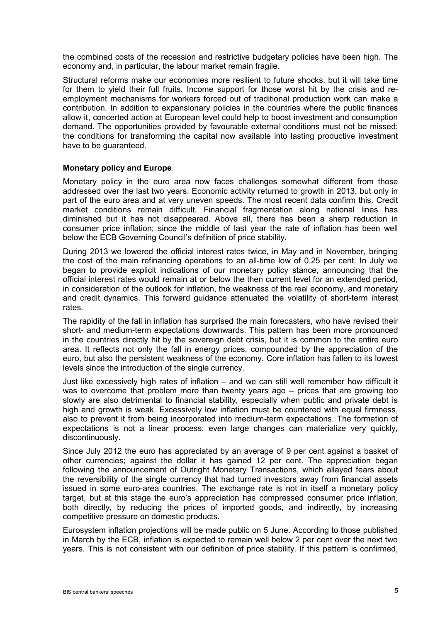the combined costs of the recession and restrictive budgetary policies have been high. The economy and, in particular, the labour market remain fragile.

Structural reforms make our economies more resilient to future shocks, but it will take time for them to yield their full fruits. Income support for those worst hit by the crisis and reemployment mechanisms for workers forced out of traditional production work can make a contribution. In addition to expansionary policies in the countries where the public finances allow it, concerted action at European level could help to boost investment and consumption demand. The opportunities provided by favourable external conditions must not be missed; the conditions for transforming the capital now available into lasting productive investment have to be guaranteed.

#### **Monetary policy and Europe**

Monetary policy in the euro area now faces challenges somewhat different from those addressed over the last two years. Economic activity returned to growth in 2013, but only in part of the euro area and at very uneven speeds. The most recent data confirm this. Credit market conditions remain difficult. Financial fragmentation along national lines has diminished but it has not disappeared. Above all, there has been a sharp reduction in consumer price inflation; since the middle of last year the rate of inflation has been well below the ECB Governing Council's definition of price stability.

During 2013 we lowered the official interest rates twice, in May and in November, bringing the cost of the main refinancing operations to an all-time low of 0.25 per cent. In July we began to provide explicit indications of our monetary policy stance, announcing that the official interest rates would remain at or below the then current level for an extended period, in consideration of the outlook for inflation, the weakness of the real economy, and monetary and credit dynamics. This forward guidance attenuated the volatility of short-term interest rates.

The rapidity of the fall in inflation has surprised the main forecasters, who have revised their short- and medium-term expectations downwards. This pattern has been more pronounced in the countries directly hit by the sovereign debt crisis, but it is common to the entire euro area. It reflects not only the fall in energy prices, compounded by the appreciation of the euro, but also the persistent weakness of the economy. Core inflation has fallen to its lowest levels since the introduction of the single currency.

Just like excessively high rates of inflation – and we can still well remember how difficult it was to overcome that problem more than twenty years ago – prices that are growing too slowly are also detrimental to financial stability, especially when public and private debt is high and growth is weak. Excessively low inflation must be countered with equal firmness, also to prevent it from being incorporated into medium-term expectations. The formation of expectations is not a linear process: even large changes can materialize very quickly, discontinuously.

Since July 2012 the euro has appreciated by an average of 9 per cent against a basket of other currencies; against the dollar it has gained 12 per cent. The appreciation began following the announcement of Outright Monetary Transactions, which allayed fears about the reversibility of the single currency that had turned investors away from financial assets issued in some euro-area countries. The exchange rate is not in itself a monetary policy target, but at this stage the euro's appreciation has compressed consumer price inflation, both directly, by reducing the prices of imported goods, and indirectly, by increasing competitive pressure on domestic products.

Eurosystem inflation projections will be made public on 5 June. According to those published in March by the ECB, inflation is expected to remain well below 2 per cent over the next two years. This is not consistent with our definition of price stability. If this pattern is confirmed,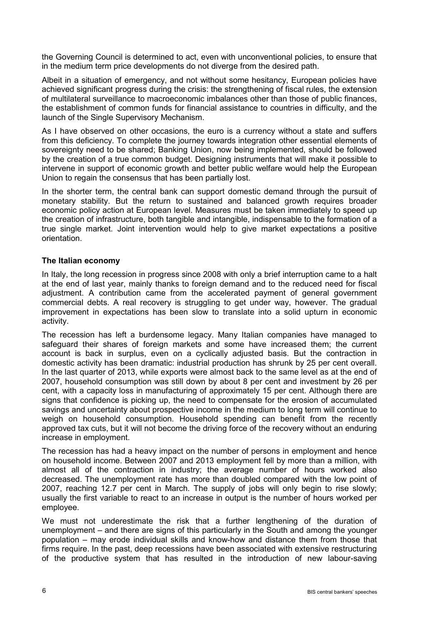the Governing Council is determined to act, even with unconventional policies, to ensure that in the medium term price developments do not diverge from the desired path.

Albeit in a situation of emergency, and not without some hesitancy, European policies have achieved significant progress during the crisis: the strengthening of fiscal rules, the extension of multilateral surveillance to macroeconomic imbalances other than those of public finances, the establishment of common funds for financial assistance to countries in difficulty, and the launch of the Single Supervisory Mechanism.

As I have observed on other occasions, the euro is a currency without a state and suffers from this deficiency. To complete the journey towards integration other essential elements of sovereignty need to be shared; Banking Union, now being implemented, should be followed by the creation of a true common budget. Designing instruments that will make it possible to intervene in support of economic growth and better public welfare would help the European Union to regain the consensus that has been partially lost.

In the shorter term, the central bank can support domestic demand through the pursuit of monetary stability. But the return to sustained and balanced growth requires broader economic policy action at European level. Measures must be taken immediately to speed up the creation of infrastructure, both tangible and intangible, indispensable to the formation of a true single market. Joint intervention would help to give market expectations a positive orientation.

# **The Italian economy**

In Italy, the long recession in progress since 2008 with only a brief interruption came to a halt at the end of last year, mainly thanks to foreign demand and to the reduced need for fiscal adjustment. A contribution came from the accelerated payment of general government commercial debts. A real recovery is struggling to get under way, however. The gradual improvement in expectations has been slow to translate into a solid upturn in economic activity.

The recession has left a burdensome legacy. Many Italian companies have managed to safeguard their shares of foreign markets and some have increased them; the current account is back in surplus, even on a cyclically adjusted basis. But the contraction in domestic activity has been dramatic: industrial production has shrunk by 25 per cent overall. In the last quarter of 2013, while exports were almost back to the same level as at the end of 2007, household consumption was still down by about 8 per cent and investment by 26 per cent, with a capacity loss in manufacturing of approximately 15 per cent. Although there are signs that confidence is picking up, the need to compensate for the erosion of accumulated savings and uncertainty about prospective income in the medium to long term will continue to weigh on household consumption. Household spending can benefit from the recently approved tax cuts, but it will not become the driving force of the recovery without an enduring increase in employment.

The recession has had a heavy impact on the number of persons in employment and hence on household income. Between 2007 and 2013 employment fell by more than a million, with almost all of the contraction in industry; the average number of hours worked also decreased. The unemployment rate has more than doubled compared with the low point of 2007, reaching 12.7 per cent in March. The supply of jobs will only begin to rise slowly; usually the first variable to react to an increase in output is the number of hours worked per employee.

We must not underestimate the risk that a further lengthening of the duration of unemployment – and there are signs of this particularly in the South and among the younger population – may erode individual skills and know-how and distance them from those that firms require. In the past, deep recessions have been associated with extensive restructuring of the productive system that has resulted in the introduction of new labour-saving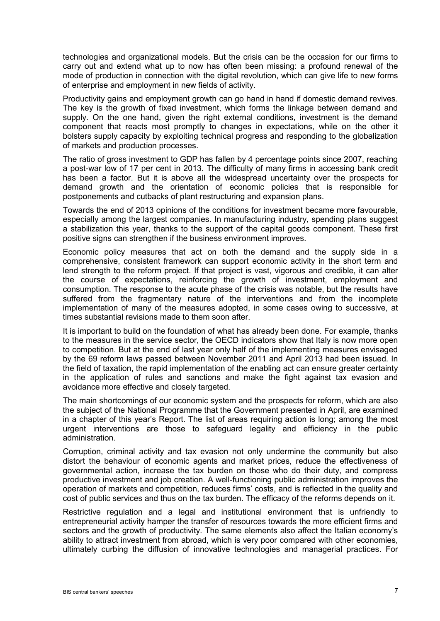technologies and organizational models. But the crisis can be the occasion for our firms to carry out and extend what up to now has often been missing: a profound renewal of the mode of production in connection with the digital revolution, which can give life to new forms of enterprise and employment in new fields of activity.

Productivity gains and employment growth can go hand in hand if domestic demand revives. The key is the growth of fixed investment, which forms the linkage between demand and supply. On the one hand, given the right external conditions, investment is the demand component that reacts most promptly to changes in expectations, while on the other it bolsters supply capacity by exploiting technical progress and responding to the globalization of markets and production processes.

The ratio of gross investment to GDP has fallen by 4 percentage points since 2007, reaching a post-war low of 17 per cent in 2013. The difficulty of many firms in accessing bank credit has been a factor. But it is above all the widespread uncertainty over the prospects for demand growth and the orientation of economic policies that is responsible for postponements and cutbacks of plant restructuring and expansion plans.

Towards the end of 2013 opinions of the conditions for investment became more favourable, especially among the largest companies. In manufacturing industry, spending plans suggest a stabilization this year, thanks to the support of the capital goods component. These first positive signs can strengthen if the business environment improves.

Economic policy measures that act on both the demand and the supply side in a comprehensive, consistent framework can support economic activity in the short term and lend strength to the reform project. If that project is vast, vigorous and credible, it can alter the course of expectations, reinforcing the growth of investment, employment and consumption. The response to the acute phase of the crisis was notable, but the results have suffered from the fragmentary nature of the interventions and from the incomplete implementation of many of the measures adopted, in some cases owing to successive, at times substantial revisions made to them soon after.

It is important to build on the foundation of what has already been done. For example, thanks to the measures in the service sector, the OECD indicators show that Italy is now more open to competition. But at the end of last year only half of the implementing measures envisaged by the 69 reform laws passed between November 2011 and April 2013 had been issued. In the field of taxation, the rapid implementation of the enabling act can ensure greater certainty in the application of rules and sanctions and make the fight against tax evasion and avoidance more effective and closely targeted.

The main shortcomings of our economic system and the prospects for reform, which are also the subject of the National Programme that the Government presented in April, are examined in a chapter of this year's Report. The list of areas requiring action is long; among the most urgent interventions are those to safeguard legality and efficiency in the public administration.

Corruption, criminal activity and tax evasion not only undermine the community but also distort the behaviour of economic agents and market prices, reduce the effectiveness of governmental action, increase the tax burden on those who do their duty, and compress productive investment and job creation. A well-functioning public administration improves the operation of markets and competition, reduces firms' costs, and is reflected in the quality and cost of public services and thus on the tax burden. The efficacy of the reforms depends on it.

Restrictive regulation and a legal and institutional environment that is unfriendly to entrepreneurial activity hamper the transfer of resources towards the more efficient firms and sectors and the growth of productivity. The same elements also affect the Italian economy's ability to attract investment from abroad, which is very poor compared with other economies, ultimately curbing the diffusion of innovative technologies and managerial practices. For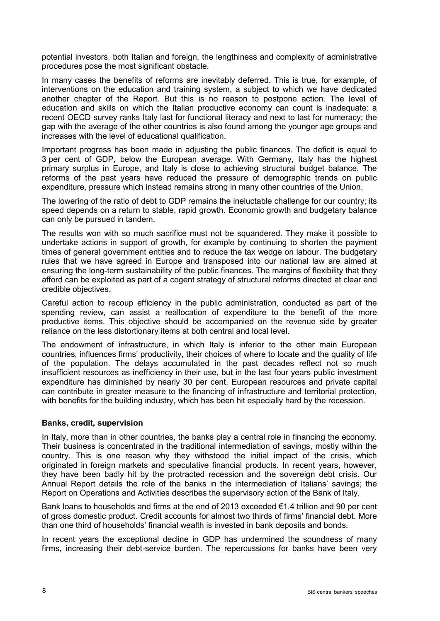potential investors, both Italian and foreign, the lengthiness and complexity of administrative procedures pose the most significant obstacle.

In many cases the benefits of reforms are inevitably deferred. This is true, for example, of interventions on the education and training system, a subject to which we have dedicated another chapter of the Report. But this is no reason to postpone action. The level of education and skills on which the Italian productive economy can count is inadequate: a recent OECD survey ranks Italy last for functional literacy and next to last for numeracy; the gap with the average of the other countries is also found among the younger age groups and increases with the level of educational qualification.

Important progress has been made in adjusting the public finances. The deficit is equal to 3 per cent of GDP, below the European average. With Germany, Italy has the highest primary surplus in Europe, and Italy is close to achieving structural budget balance. The reforms of the past years have reduced the pressure of demographic trends on public expenditure, pressure which instead remains strong in many other countries of the Union.

The lowering of the ratio of debt to GDP remains the ineluctable challenge for our country; its speed depends on a return to stable, rapid growth. Economic growth and budgetary balance can only be pursued in tandem.

The results won with so much sacrifice must not be squandered. They make it possible to undertake actions in support of growth, for example by continuing to shorten the payment times of general government entities and to reduce the tax wedge on labour. The budgetary rules that we have agreed in Europe and transposed into our national law are aimed at ensuring the long-term sustainability of the public finances. The margins of flexibility that they afford can be exploited as part of a cogent strategy of structural reforms directed at clear and credible objectives.

Careful action to recoup efficiency in the public administration, conducted as part of the spending review, can assist a reallocation of expenditure to the benefit of the more productive items. This objective should be accompanied on the revenue side by greater reliance on the less distortionary items at both central and local level.

The endowment of infrastructure, in which Italy is inferior to the other main European countries, influences firms' productivity, their choices of where to locate and the quality of life of the population. The delays accumulated in the past decades reflect not so much insufficient resources as inefficiency in their use, but in the last four years public investment expenditure has diminished by nearly 30 per cent. European resources and private capital can contribute in greater measure to the financing of infrastructure and territorial protection, with benefits for the building industry, which has been hit especially hard by the recession.

#### **Banks, credit, supervision**

In Italy, more than in other countries, the banks play a central role in financing the economy. Their business is concentrated in the traditional intermediation of savings, mostly within the country. This is one reason why they withstood the initial impact of the crisis, which originated in foreign markets and speculative financial products. In recent years, however, they have been badly hit by the protracted recession and the sovereign debt crisis. Our Annual Report details the role of the banks in the intermediation of Italians' savings; the Report on Operations and Activities describes the supervisory action of the Bank of Italy.

Bank loans to households and firms at the end of 2013 exceeded €1.4 trillion and 90 per cent of gross domestic product. Credit accounts for almost two thirds of firms' financial debt. More than one third of households' financial wealth is invested in bank deposits and bonds.

In recent years the exceptional decline in GDP has undermined the soundness of many firms, increasing their debt-service burden. The repercussions for banks have been very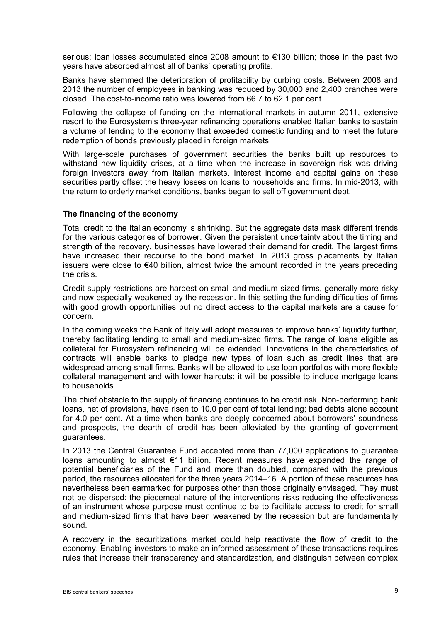serious: loan losses accumulated since 2008 amount to €130 billion; those in the past two years have absorbed almost all of banks' operating profits.

Banks have stemmed the deterioration of profitability by curbing costs. Between 2008 and 2013 the number of employees in banking was reduced by 30,000 and 2,400 branches were closed. The cost-to-income ratio was lowered from 66.7 to 62.1 per cent.

Following the collapse of funding on the international markets in autumn 2011, extensive resort to the Eurosystem's three-year refinancing operations enabled Italian banks to sustain a volume of lending to the economy that exceeded domestic funding and to meet the future redemption of bonds previously placed in foreign markets.

With large-scale purchases of government securities the banks built up resources to withstand new liquidity crises, at a time when the increase in sovereign risk was driving foreign investors away from Italian markets. Interest income and capital gains on these securities partly offset the heavy losses on loans to households and firms. In mid-2013, with the return to orderly market conditions, banks began to sell off government debt.

### **The financing of the economy**

Total credit to the Italian economy is shrinking. But the aggregate data mask different trends for the various categories of borrower. Given the persistent uncertainty about the timing and strength of the recovery, businesses have lowered their demand for credit. The largest firms have increased their recourse to the bond market. In 2013 gross placements by Italian issuers were close to €40 billion, almost twice the amount recorded in the years preceding the crisis.

Credit supply restrictions are hardest on small and medium-sized firms, generally more risky and now especially weakened by the recession. In this setting the funding difficulties of firms with good growth opportunities but no direct access to the capital markets are a cause for concern.

In the coming weeks the Bank of Italy will adopt measures to improve banks' liquidity further, thereby facilitating lending to small and medium-sized firms. The range of loans eligible as collateral for Eurosystem refinancing will be extended. Innovations in the characteristics of contracts will enable banks to pledge new types of loan such as credit lines that are widespread among small firms. Banks will be allowed to use loan portfolios with more flexible collateral management and with lower haircuts; it will be possible to include mortgage loans to households.

The chief obstacle to the supply of financing continues to be credit risk. Non-performing bank loans, net of provisions, have risen to 10.0 per cent of total lending; bad debts alone account for 4.0 per cent. At a time when banks are deeply concerned about borrowers' soundness and prospects, the dearth of credit has been alleviated by the granting of government guarantees.

In 2013 the Central Guarantee Fund accepted more than 77,000 applications to guarantee loans amounting to almost €11 billion. Recent measures have expanded the range of potential beneficiaries of the Fund and more than doubled, compared with the previous period, the resources allocated for the three years 2014–16. A portion of these resources has nevertheless been earmarked for purposes other than those originally envisaged. They must not be dispersed: the piecemeal nature of the interventions risks reducing the effectiveness of an instrument whose purpose must continue to be to facilitate access to credit for small and medium-sized firms that have been weakened by the recession but are fundamentally sound.

A recovery in the securitizations market could help reactivate the flow of credit to the economy. Enabling investors to make an informed assessment of these transactions requires rules that increase their transparency and standardization, and distinguish between complex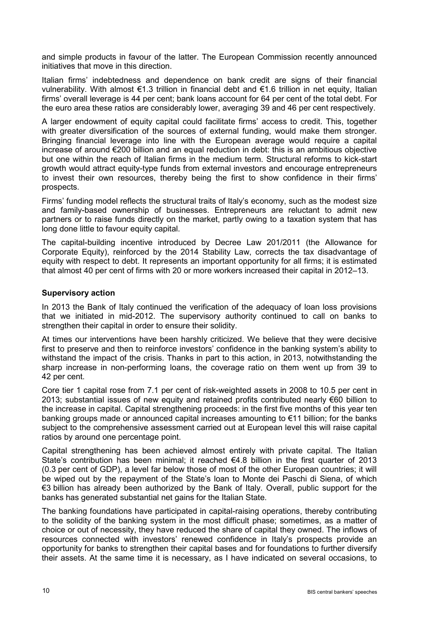and simple products in favour of the latter. The European Commission recently announced initiatives that move in this direction.

Italian firms' indebtedness and dependence on bank credit are signs of their financial vulnerability. With almost €1.3 trillion in financial debt and €1.6 trillion in net equity, Italian firms' overall leverage is 44 per cent; bank loans account for 64 per cent of the total debt. For the euro area these ratios are considerably lower, averaging 39 and 46 per cent respectively.

A larger endowment of equity capital could facilitate firms' access to credit. This, together with greater diversification of the sources of external funding, would make them stronger. Bringing financial leverage into line with the European average would require a capital increase of around €200 billion and an equal reduction in debt: this is an ambitious objective but one within the reach of Italian firms in the medium term. Structural reforms to kick-start growth would attract equity-type funds from external investors and encourage entrepreneurs to invest their own resources, thereby being the first to show confidence in their firms' prospects.

Firms' funding model reflects the structural traits of Italy's economy, such as the modest size and family-based ownership of businesses. Entrepreneurs are reluctant to admit new partners or to raise funds directly on the market, partly owing to a taxation system that has long done little to favour equity capital.

The capital-building incentive introduced by Decree Law 201/2011 (the Allowance for Corporate Equity), reinforced by the 2014 Stability Law, corrects the tax disadvantage of equity with respect to debt. It represents an important opportunity for all firms; it is estimated that almost 40 per cent of firms with 20 or more workers increased their capital in 2012–13.

### **Supervisory action**

In 2013 the Bank of Italy continued the verification of the adequacy of loan loss provisions that we initiated in mid-2012. The supervisory authority continued to call on banks to strengthen their capital in order to ensure their solidity.

At times our interventions have been harshly criticized. We believe that they were decisive first to preserve and then to reinforce investors' confidence in the banking system's ability to withstand the impact of the crisis. Thanks in part to this action, in 2013, notwithstanding the sharp increase in non-performing loans, the coverage ratio on them went up from 39 to 42 per cent.

Core tier 1 capital rose from 7.1 per cent of risk-weighted assets in 2008 to 10.5 per cent in 2013; substantial issues of new equity and retained profits contributed nearly €60 billion to the increase in capital. Capital strengthening proceeds: in the first five months of this year ten banking groups made or announced capital increases amounting to €11 billion; for the banks subject to the comprehensive assessment carried out at European level this will raise capital ratios by around one percentage point.

Capital strengthening has been achieved almost entirely with private capital. The Italian State's contribution has been minimal; it reached  $64.8$  billion in the first quarter of 2013 (0.3 per cent of GDP), a level far below those of most of the other European countries; it will be wiped out by the repayment of the State's loan to Monte dei Paschi di Siena, of which €3 billion has already been authorized by the Bank of Italy. Overall, public support for the banks has generated substantial net gains for the Italian State.

The banking foundations have participated in capital-raising operations, thereby contributing to the solidity of the banking system in the most difficult phase; sometimes, as a matter of choice or out of necessity, they have reduced the share of capital they owned. The inflows of resources connected with investors' renewed confidence in Italy's prospects provide an opportunity for banks to strengthen their capital bases and for foundations to further diversify their assets. At the same time it is necessary, as I have indicated on several occasions, to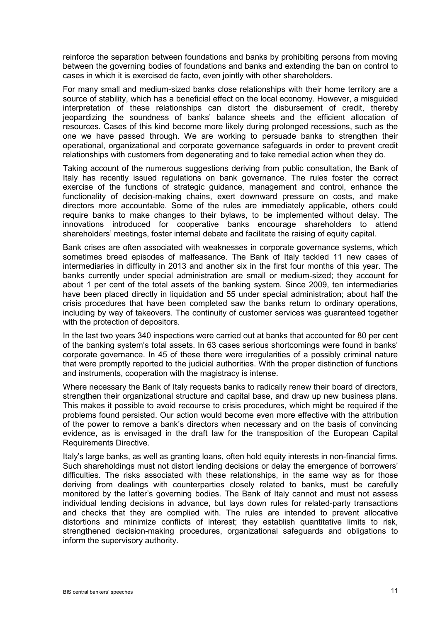reinforce the separation between foundations and banks by prohibiting persons from moving between the governing bodies of foundations and banks and extending the ban on control to cases in which it is exercised de facto, even jointly with other shareholders.

For many small and medium-sized banks close relationships with their home territory are a source of stability, which has a beneficial effect on the local economy. However, a misguided interpretation of these relationships can distort the disbursement of credit, thereby jeopardizing the soundness of banks' balance sheets and the efficient allocation of resources. Cases of this kind become more likely during prolonged recessions, such as the one we have passed through. We are working to persuade banks to strengthen their operational, organizational and corporate governance safeguards in order to prevent credit relationships with customers from degenerating and to take remedial action when they do.

Taking account of the numerous suggestions deriving from public consultation, the Bank of Italy has recently issued regulations on bank governance. The rules foster the correct exercise of the functions of strategic guidance, management and control, enhance the functionality of decision-making chains, exert downward pressure on costs, and make directors more accountable. Some of the rules are immediately applicable, others could require banks to make changes to their bylaws, to be implemented without delay. The innovations introduced for cooperative banks encourage shareholders to attend shareholders' meetings, foster internal debate and facilitate the raising of equity capital.

Bank crises are often associated with weaknesses in corporate governance systems, which sometimes breed episodes of malfeasance. The Bank of Italy tackled 11 new cases of intermediaries in difficulty in 2013 and another six in the first four months of this year. The banks currently under special administration are small or medium-sized; they account for about 1 per cent of the total assets of the banking system. Since 2009, ten intermediaries have been placed directly in liquidation and 55 under special administration; about half the crisis procedures that have been completed saw the banks return to ordinary operations, including by way of takeovers. The continuity of customer services was guaranteed together with the protection of depositors.

In the last two years 340 inspections were carried out at banks that accounted for 80 per cent of the banking system's total assets. In 63 cases serious shortcomings were found in banks' corporate governance. In 45 of these there were irregularities of a possibly criminal nature that were promptly reported to the judicial authorities. With the proper distinction of functions and instruments, cooperation with the magistracy is intense.

Where necessary the Bank of Italy requests banks to radically renew their board of directors, strengthen their organizational structure and capital base, and draw up new business plans. This makes it possible to avoid recourse to crisis procedures, which might be required if the problems found persisted. Our action would become even more effective with the attribution of the power to remove a bank's directors when necessary and on the basis of convincing evidence, as is envisaged in the draft law for the transposition of the European Capital Requirements Directive.

Italy's large banks, as well as granting loans, often hold equity interests in non-financial firms. Such shareholdings must not distort lending decisions or delay the emergence of borrowers' difficulties. The risks associated with these relationships, in the same way as for those deriving from dealings with counterparties closely related to banks, must be carefully monitored by the latter's governing bodies. The Bank of Italy cannot and must not assess individual lending decisions in advance, but lays down rules for related-party transactions and checks that they are complied with. The rules are intended to prevent allocative distortions and minimize conflicts of interest; they establish quantitative limits to risk, strengthened decision-making procedures, organizational safeguards and obligations to inform the supervisory authority.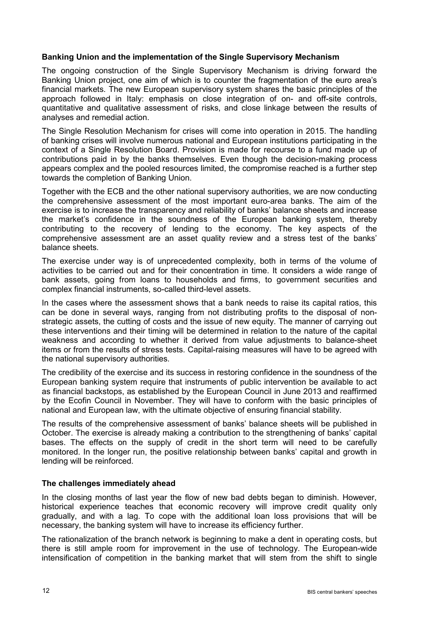### **Banking Union and the implementation of the Single Supervisory Mechanism**

The ongoing construction of the Single Supervisory Mechanism is driving forward the Banking Union project, one aim of which is to counter the fragmentation of the euro area's financial markets. The new European supervisory system shares the basic principles of the approach followed in Italy: emphasis on close integration of on- and off-site controls, quantitative and qualitative assessment of risks, and close linkage between the results of analyses and remedial action.

The Single Resolution Mechanism for crises will come into operation in 2015. The handling of banking crises will involve numerous national and European institutions participating in the context of a Single Resolution Board. Provision is made for recourse to a fund made up of contributions paid in by the banks themselves. Even though the decision-making process appears complex and the pooled resources limited, the compromise reached is a further step towards the completion of Banking Union.

Together with the ECB and the other national supervisory authorities, we are now conducting the comprehensive assessment of the most important euro-area banks. The aim of the exercise is to increase the transparency and reliability of banks' balance sheets and increase the market's confidence in the soundness of the European banking system, thereby contributing to the recovery of lending to the economy. The key aspects of the comprehensive assessment are an asset quality review and a stress test of the banks' balance sheets.

The exercise under way is of unprecedented complexity, both in terms of the volume of activities to be carried out and for their concentration in time. It considers a wide range of bank assets, going from loans to households and firms, to government securities and complex financial instruments, so-called third-level assets.

In the cases where the assessment shows that a bank needs to raise its capital ratios, this can be done in several ways, ranging from not distributing profits to the disposal of nonstrategic assets, the cutting of costs and the issue of new equity. The manner of carrying out these interventions and their timing will be determined in relation to the nature of the capital weakness and according to whether it derived from value adjustments to balance-sheet items or from the results of stress tests. Capital-raising measures will have to be agreed with the national supervisory authorities.

The credibility of the exercise and its success in restoring confidence in the soundness of the European banking system require that instruments of public intervention be available to act as financial backstops, as established by the European Council in June 2013 and reaffirmed by the Ecofin Council in November. They will have to conform with the basic principles of national and European law, with the ultimate objective of ensuring financial stability.

The results of the comprehensive assessment of banks' balance sheets will be published in October. The exercise is already making a contribution to the strengthening of banks' capital bases. The effects on the supply of credit in the short term will need to be carefully monitored. In the longer run, the positive relationship between banks' capital and growth in lending will be reinforced.

#### **The challenges immediately ahead**

In the closing months of last year the flow of new bad debts began to diminish. However, historical experience teaches that economic recovery will improve credit quality only gradually, and with a lag. To cope with the additional loan loss provisions that will be necessary, the banking system will have to increase its efficiency further.

The rationalization of the branch network is beginning to make a dent in operating costs, but there is still ample room for improvement in the use of technology. The European-wide intensification of competition in the banking market that will stem from the shift to single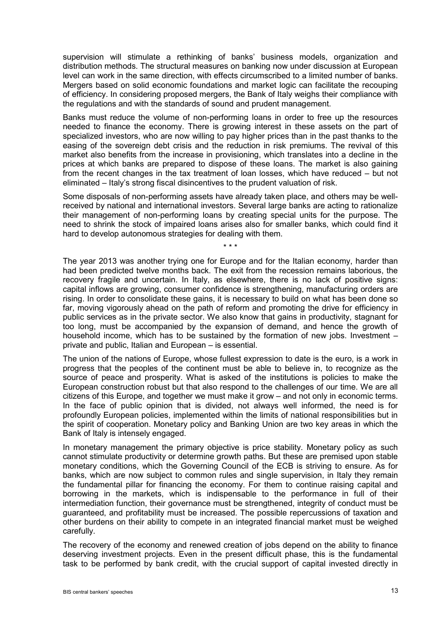supervision will stimulate a rethinking of banks' business models, organization and distribution methods. The structural measures on banking now under discussion at European level can work in the same direction, with effects circumscribed to a limited number of banks. Mergers based on solid economic foundations and market logic can facilitate the recouping of efficiency. In considering proposed mergers, the Bank of Italy weighs their compliance with the regulations and with the standards of sound and prudent management.

Banks must reduce the volume of non-performing loans in order to free up the resources needed to finance the economy. There is growing interest in these assets on the part of specialized investors, who are now willing to pay higher prices than in the past thanks to the easing of the sovereign debt crisis and the reduction in risk premiums. The revival of this market also benefits from the increase in provisioning, which translates into a decline in the prices at which banks are prepared to dispose of these loans. The market is also gaining from the recent changes in the tax treatment of loan losses, which have reduced – but not eliminated – Italy's strong fiscal disincentives to the prudent valuation of risk.

Some disposals of non-performing assets have already taken place, and others may be wellreceived by national and international investors. Several large banks are acting to rationalize their management of non-performing loans by creating special units for the purpose. The need to shrink the stock of impaired loans arises also for smaller banks, which could find it hard to develop autonomous strategies for dealing with them.

\* \* \*

The year 2013 was another trying one for Europe and for the Italian economy, harder than had been predicted twelve months back. The exit from the recession remains laborious, the recovery fragile and uncertain. In Italy, as elsewhere, there is no lack of positive signs: capital inflows are growing, consumer confidence is strengthening, manufacturing orders are rising. In order to consolidate these gains, it is necessary to build on what has been done so far, moving vigorously ahead on the path of reform and promoting the drive for efficiency in public services as in the private sector. We also know that gains in productivity, stagnant for too long, must be accompanied by the expansion of demand, and hence the growth of household income, which has to be sustained by the formation of new jobs. Investment – private and public, Italian and European – is essential.

The union of the nations of Europe, whose fullest expression to date is the euro, is a work in progress that the peoples of the continent must be able to believe in, to recognize as the source of peace and prosperity. What is asked of the institutions is policies to make the European construction robust but that also respond to the challenges of our time. We are all citizens of this Europe, and together we must make it grow – and not only in economic terms. In the face of public opinion that is divided, not always well informed, the need is for profoundly European policies, implemented within the limits of national responsibilities but in the spirit of cooperation. Monetary policy and Banking Union are two key areas in which the Bank of Italy is intensely engaged.

In monetary management the primary objective is price stability. Monetary policy as such cannot stimulate productivity or determine growth paths. But these are premised upon stable monetary conditions, which the Governing Council of the ECB is striving to ensure. As for banks, which are now subject to common rules and single supervision, in Italy they remain the fundamental pillar for financing the economy. For them to continue raising capital and borrowing in the markets, which is indispensable to the performance in full of their intermediation function, their governance must be strengthened, integrity of conduct must be guaranteed, and profitability must be increased. The possible repercussions of taxation and other burdens on their ability to compete in an integrated financial market must be weighed carefully.

The recovery of the economy and renewed creation of jobs depend on the ability to finance deserving investment projects. Even in the present difficult phase, this is the fundamental task to be performed by bank credit, with the crucial support of capital invested directly in